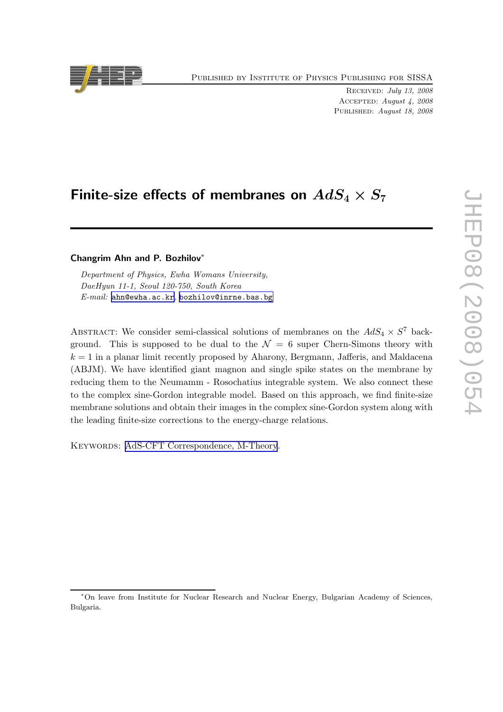Published by Institute of Physics Publishing for SISSA

Received: July 13, 2008 Accepted: August 4, 2008 Published: August 18, 2008

# Finite-size effects of membranes on  $AdS_4 \times S_7$

# Changrim Ahn and P. Bozhilov∗

Department of Physics, Ewha Womans University, DaeHyun 11-1, Seoul 120-750, South Korea E-mail: [ahn@ewha.ac.kr](mailto:ahn@ewha.ac.kr), [bozhilov@inrne.bas.bg](mailto:bozhilov@inrne.bas.bg)

ABSTRACT: We consider semi-classical solutions of membranes on the  $AdS_4 \times S^7$  background. This is supposed to be dual to the  $\mathcal{N} = 6$  super Chern-Simons theory with  $k = 1$  in a planar limit recently proposed by Aharony, Bergmann, Jafferis, and Maldacena (ABJM). We have identified giant magnon and single spike states on the membrane by reducing them to the Neumamm - Rosochatius integrable system. We also connect these to the complex sine-Gordon integrable model. Based on this approach, we find finite-size membrane solutions and obtain their images in the complex sine-Gordon system along with the leading finite-size corrections to the energy-charge relations.

KEYWORDS: [AdS-CFT Correspondence, M-Theory](http://jhep.sissa.it/stdsearch).



<sup>∗</sup>On leave from Institute for Nuclear Research and Nuclear Energy, Bulgarian Academy of Sciences, Bulgaria.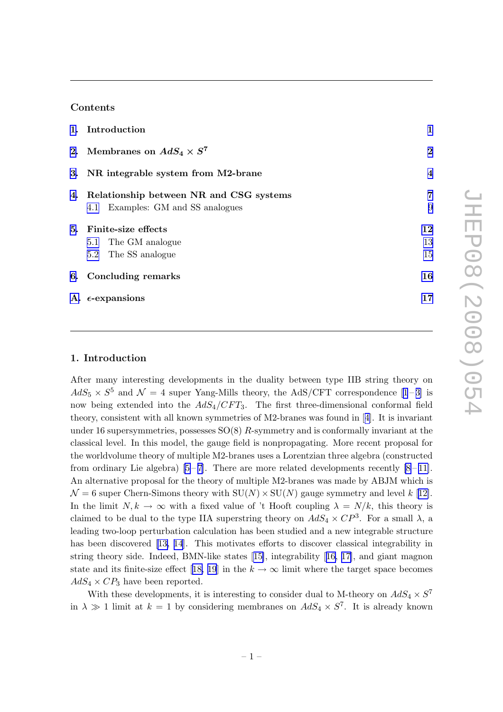# Contents

|    | 1. Introduction                            | 1              |
|----|--------------------------------------------|----------------|
|    | 2. Membranes on $AdS_4 \times S^7$         | $\overline{2}$ |
|    | 3. NR integrable system from M2-brane      | $\overline{4}$ |
|    | 4. Relationship between NR and CSG systems | $\overline{7}$ |
|    | 4.1 Examples: GM and SS analogues          | 9              |
| 5. | Finite-size effects                        | 12             |
|    | 5.1 The GM analogue                        | 13             |
|    | 5.2 The SS analogue                        | 15             |
|    | 6. Concluding remarks                      | 16             |
|    | A. $\epsilon$ -expansions                  | 17             |

# 1. Introduction

After many interesting developments in the duality between type IIB string theory on  $AdS_5 \times S^5$  and  $\mathcal{N} = 4$  super Yang-Mills theory, the AdS/CFT correspondence [\[1](#page-18-0)-[3\]](#page-18-0) is now being extended into the  $AdS_4/CFT_3$ . The first three-dimensional conformal field theory, consistent with all known symmetries of M2-branes was found in[[4\]](#page-18-0). It is invariant under 16 supersymmetries, possesses  $SO(8)$  R-symmetry and is conformally invariant at the classical level. In this model, the gauge field is nonpropagating. More recent proposal for the worldvolume theory of multiple M2-branes uses a Lorentzian three algebra (constructed from ordinary Lie algebra)  $[5-7]$ . There are more related developments recently  $[8-11]$ . An alternative proposal for the theory of multiple M2-branes was made by ABJM which is  $\mathcal{N}=6$  super Chern-Simons theory with  $SU(N) \times SU(N)$  gauge symmetry and level k [[12\]](#page-19-0). In the limit  $N, k \to \infty$  with a fixed value of 't Hooft coupling  $\lambda = N/k$ , this theory is claimed to be dual to the type IIA superstring theory on  $AdS_4 \times CP^3$ . For a small  $\lambda$ , a leading two-loop perturbation calculation has been studied and a new integrable structure has been discovered[[13, 14](#page-19-0)]. This motivates efforts to discover classical integrability in string theory side. Indeed, BMN-like states[[15\]](#page-19-0), integrability[[16, 17\]](#page-19-0), and giant magnon stateand its finite-size effect [[18, 19](#page-19-0)] in the  $k \to \infty$  limit where the target space becomes  $AdS_4 \times CP_3$  have been reported.

With these developments, it is interesting to consider dual to M-theory on  $AdS_4 \times S^7$ in  $\lambda \gg 1$  limit at  $k = 1$  by considering membranes on  $AdS_4 \times S^7$ . It is already known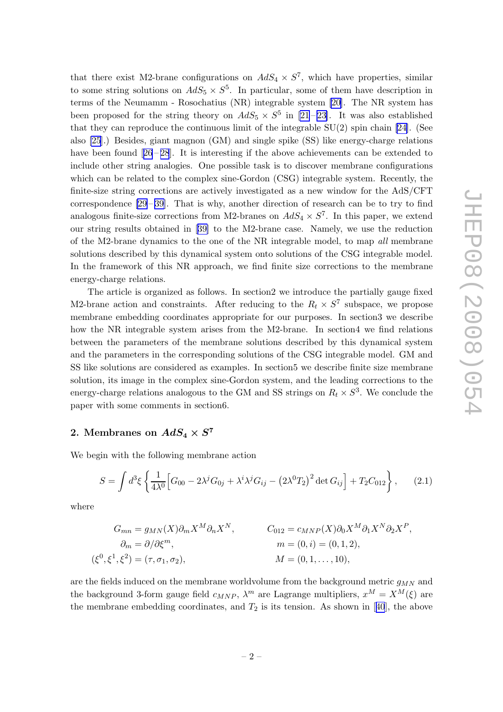<span id="page-2-0"></span>that there exist M2-brane configurations on  $AdS_4 \times S^7$ , which have properties, similar to some string solutions on  $AdS_5 \times S^5$ . In particular, some of them have description in terms of the Neumamm - Rosochatius (NR) integrable system [\[20\]](#page-19-0). The NR system has been proposed for the string theory on  $AdS_5 \times S^5$  in [\[21](#page-19-0)-23]. It was also established that they can reproduce the continuous limit of the integrable  $SU(2)$  spin chain [\[24\]](#page-19-0). (See also [\[25](#page-19-0)].) Besides, giant magnon (GM) and single spike (SS) like energy-charge relations havebeen found  $[26-28]$  $[26-28]$  $[26-28]$ . It is interesting if the above achievements can be extended to include other string analogies. One possible task is to discover membrane configurations which can be related to the complex sine-Gordon (CSG) integrable system. Recently, the finite-size string corrections are actively investigated as a new window for the AdS/CFT correspondence $[29-39]$  $[29-39]$  $[29-39]$ . That is why, another direction of research can be to try to find analogous finite-size corrections from M2-branes on  $AdS_4 \times S^7$ . In this paper, we extend our string results obtained in[[39\]](#page-20-0) to the M2-brane case. Namely, we use the reduction of the M2-brane dynamics to the one of the NR integrable model, to map all membrane solutions described by this dynamical system onto solutions of the CSG integrable model. In the framework of this NR approach, we find finite size corrections to the membrane energy-charge relations.

The article is organized as follows. In section2 we introduce the partially gauge fixed M2-brane action and constraints. After reducing to the  $R_t \times S^7$  subspace, we propose membrane embedding coordinates appropriate for our purposes. In section3 we describe how the NR integrable system arises from the M2-brane. In section4 we find relations between the parameters of the membrane solutions described by this dynamical system and the parameters in the corresponding solutions of the CSG integrable model. GM and SS like solutions are considered as examples. In section5 we describe finite size membrane solution, its image in the complex sine-Gordon system, and the leading corrections to the energy-charge relations analogous to the GM and SS strings on  $R_t \times S^3$ . We conclude the paper with some comments in section6.

# 2. Membranes on  $AdS_4 \times S^7$

We begin with the following membrane action

$$
S = \int d^3 \xi \left\{ \frac{1}{4\lambda^0} \Big[ G_{00} - 2\lambda^j G_{0j} + \lambda^i \lambda^j G_{ij} - (2\lambda^0 T_2)^2 \det G_{ij} \Big] + T_2 C_{012} \right\}, \qquad (2.1)
$$

where

 $\overline{z}$ 

$$
G_{mn} = g_{MN}(X)\partial_m X^M \partial_n X^N, \qquad G_{012} = c_{MNP}(X)\partial_0 X^M \partial_1 X^N \partial_2 X^P,
$$
  
\n
$$
\partial_m = \partial/\partial \xi^m, \qquad m = (0, i) = (0, 1, 2),
$$
  
\n
$$
\xi^0, \xi^1, \xi^2) = (\tau, \sigma_1, \sigma_2), \qquad M = (0, 1, ..., 10),
$$

are the fields induced on the membrane worldvolume from the background metric  $q_{MN}$  and the background 3-form gauge field  $c_{MNP}$ ,  $\lambda^m$  are Lagrange multipliers,  $x^M = X^M(\xi)$  are themembrane embedding coordinates, and  $T_2$  is its tension. As shown in [[40](#page-20-0)], the above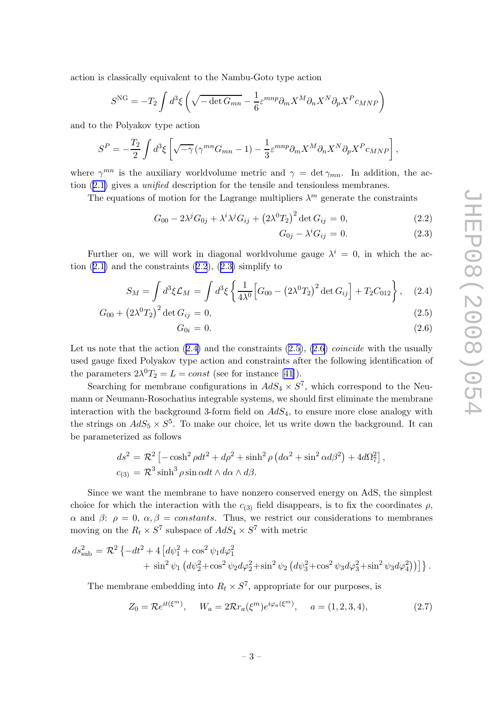<span id="page-3-0"></span>action is classically equivalent to the Nambu-Goto type action

$$
S^{\rm NG} = -T_2 \int d^3 \xi \left( \sqrt{-\det G_{mn}} - \frac{1}{6} \varepsilon^{mnp} \partial_m X^M \partial_n X^N \partial_p X^P c_{MNP} \right)
$$

and to the Polyakov type action

$$
S^{P} = -\frac{T_2}{2} \int d^3 \xi \left[ \sqrt{-\gamma} \left( \gamma^{mn} G_{mn} - 1 \right) - \frac{1}{3} \varepsilon^{mnp} \partial_m X^M \partial_n X^N \partial_p X^P c_{MNP} \right],
$$

where  $\gamma^{mn}$  is the auxiliary worldvolume metric and  $\gamma = \det \gamma_{mn}$ . In addition, the action ([2.1\)](#page-2-0) gives a unified description for the tensile and tensionless membranes.

The equations of motion for the Lagrange multipliers  $\lambda^m$  generate the constraints

$$
G_{00} - 2\lambda^j G_{0j} + \lambda^i \lambda^j G_{ij} + (2\lambda^0 T_2)^2 \det G_{ij} = 0,
$$
\n(2.2)

$$
G_{0j} - \lambda^i G_{ij} = 0. \tag{2.3}
$$

Further on, we will work in diagonal worldvolume gauge  $\lambda^{i} = 0$ , in which the action  $(2.1)$  $(2.1)$  and the constraints  $(2.2)$ ,  $(2.3)$  simplify to

$$
S_M = \int d^3 \xi \mathcal{L}_M = \int d^3 \xi \left\{ \frac{1}{4\lambda^0} \Big[ G_{00} - \left( 2\lambda^0 T_2 \right)^2 \det G_{ij} \Big] + T_2 C_{012} \right\}, \quad (2.4)
$$

$$
G_{00} + (2\lambda^0 T_2)^2 \det G_{ij} = 0, \tag{2.5}
$$

$$
G_{0i} = 0. \t\t(2.6)
$$

Let us note that the action  $(2.4)$  and the constraints  $(2.5)$ ,  $(2.6)$  *coincide* with the usually used gauge fixed Polyakov type action and constraints after the following identification of the parameters  $2\lambda^0 T_2 = L = const$  (see for instance [\[41\]](#page-20-0)).

Searching for membrane configurations in  $AdS_4 \times S^7$ , which correspond to the Neumann or Neumann-Rosochatius integrable systems, we should first eliminate the membrane interaction with the background 3-form field on  $AdS_4$ , to ensure more close analogy with the strings on  $AdS_5 \times S^5$ . To make our choice, let us write down the background. It can be parameterized as follows

$$
ds^{2} = \mathcal{R}^{2} \left[ -\cosh^{2} \rho dt^{2} + d\rho^{2} + \sinh^{2} \rho \left( d\alpha^{2} + \sin^{2} \alpha d\beta^{2} \right) + 4d\Omega_{7}^{2} \right],
$$
  

$$
c_{(3)} = \mathcal{R}^{3} \sinh^{3} \rho \sin \alpha dt \wedge d\alpha \wedge d\beta.
$$

Since we want the membrane to have nonzero conserved energy on AdS, the simplest choice for which the interaction with the  $c_{(3)}$  field disappears, is to fix the coordinates  $\rho$ ,  $\alpha$  and  $\beta$ :  $\rho = 0$ ,  $\alpha, \beta = \text{constants}$ . Thus, we restrict our considerations to membranes moving on the  $R_t \times S^7$  subspace of  $AdS_4 \times S^7$  with metric

$$
ds_{\text{sub}}^2 = \mathcal{R}^2 \left\{ -dt^2 + 4 \left[ d\psi_1^2 + \cos^2 \psi_1 d\varphi_1^2 + \sin^2 \psi_2 (d\psi_2^2 + \sin^2 \psi_2 (d\psi_3^2 + \cos^2 \psi_3 d\varphi_3^2 + \sin^2 \psi_3 d\varphi_4^2)) \right] \right\}.
$$

The membrane embedding into  $R_t \times S^7$ , appropriate for our purposes, is

$$
Z_0 = \mathcal{R}e^{it(\xi^m)}, \quad W_a = 2\mathcal{R}r_a(\xi^m)e^{i\varphi_a(\xi^m)}, \quad a = (1, 2, 3, 4), \tag{2.7}
$$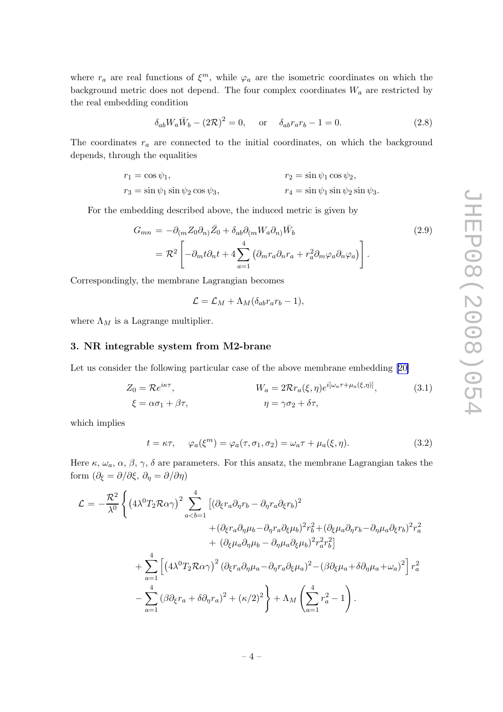<span id="page-4-0"></span>where  $r_a$  are real functions of  $\xi^m$ , while  $\varphi_a$  are the isometric coordinates on which the background metric does not depend. The four complex coordinates  $W_a$  are restricted by the real embedding condition

$$
\delta_{ab} W_a \overline{W}_b - (2\mathcal{R})^2 = 0, \quad \text{or} \quad \delta_{ab} r_a r_b - 1 = 0. \tag{2.8}
$$

The coordinates  $r_a$  are connected to the initial coordinates, on which the background depends, through the equalities

$$
r_1 = \cos \psi_1,
$$
  
\n
$$
r_3 = \sin \psi_1 \sin \psi_2 \cos \psi_3,
$$
  
\n
$$
r_4 = \sin \psi_1 \sin \psi_2 \sin \psi_3.
$$

For the embedding described above, the induced metric is given by

$$
G_{mn} = -\partial_{(m} Z_0 \partial_{n)} \bar{Z}_0 + \delta_{ab} \partial_{(m} W_a \partial_{n)} \bar{W}_b
$$
  
=  $\mathcal{R}^2 \left[ -\partial_m t \partial_n t + 4 \sum_{a=1}^4 \left( \partial_m r_a \partial_n r_a + r_a^2 \partial_m \varphi_a \partial_n \varphi_a \right) \right].$  (2.9)

Correspondingly, the membrane Lagrangian becomes

$$
\mathcal{L} = \mathcal{L}_M + \Lambda_M (\delta_{ab} r_a r_b - 1),
$$

where  $\Lambda_M$  is a Lagrange multiplier.

# 3. NR integrable system from M2-brane

Let us consider the following particular case of the above membrane embedding [\[20\]](#page-19-0)

$$
Z_0 = \mathcal{R}e^{i\kappa\tau}, \qquad W_a = 2\mathcal{R}r_a(\xi, \eta)e^{i[\omega_a\tau + \mu_a(\xi, \eta)]}, \qquad (3.1)
$$

$$
\xi = \alpha\sigma_1 + \beta\tau, \qquad \eta = \gamma\sigma_2 + \delta\tau,
$$

which implies

$$
t = \kappa \tau, \quad \varphi_a(\xi^m) = \varphi_a(\tau, \sigma_1, \sigma_2) = \omega_a \tau + \mu_a(\xi, \eta). \tag{3.2}
$$

Here  $\kappa$ ,  $\omega_a$ ,  $\alpha$ ,  $\beta$ ,  $\gamma$ ,  $\delta$  are parameters. For this ansatz, the membrane Lagrangian takes the form  $(\partial_{\xi} = \partial/\partial \xi, \partial_{\eta} = \partial/\partial \eta)$ 

$$
\mathcal{L} = -\frac{\mathcal{R}^2}{\lambda^0} \left\{ \left( 4\lambda^0 T_2 \mathcal{R} \alpha \gamma \right)^2 \sum_{a < b=1}^4 \left[ (\partial_{\xi} r_a \partial_{\eta} r_b - \partial_{\eta} r_a \partial_{\xi} r_b)^2 \right. \\ \left. + (\partial_{\xi} r_a \partial_{\eta} \mu_b - \partial_{\eta} r_a \partial_{\xi} \mu_b)^2 r_b^2 + (\partial_{\xi} \mu_a \partial_{\eta} r_b - \partial_{\eta} \mu_a \partial_{\xi} r_b)^2 r_a^2 \right. \\ \left. + (\partial_{\xi} \mu_a \partial_{\eta} \mu_b - \partial_{\eta} \mu_a \partial_{\xi} \mu_b)^2 r_a^2 r_b^2 \right] \\ \left. + \sum_{a=1}^4 \left[ \left( 4\lambda^0 T_2 \mathcal{R} \alpha \gamma \right)^2 (\partial_{\xi} r_a \partial_{\eta} \mu_a - \partial_{\eta} r_a \partial_{\xi} \mu_a)^2 - (\beta \partial_{\xi} \mu_a + \delta \partial_{\eta} \mu_a + \omega_a)^2 \right] r_a^2 \right. \\ \left. - \sum_{a=1}^4 (\beta \partial_{\xi} r_a + \delta \partial_{\eta} r_a)^2 + (\kappa/2)^2 \right\} + \Lambda_M \left( \sum_{a=1}^4 r_a^2 - 1 \right).
$$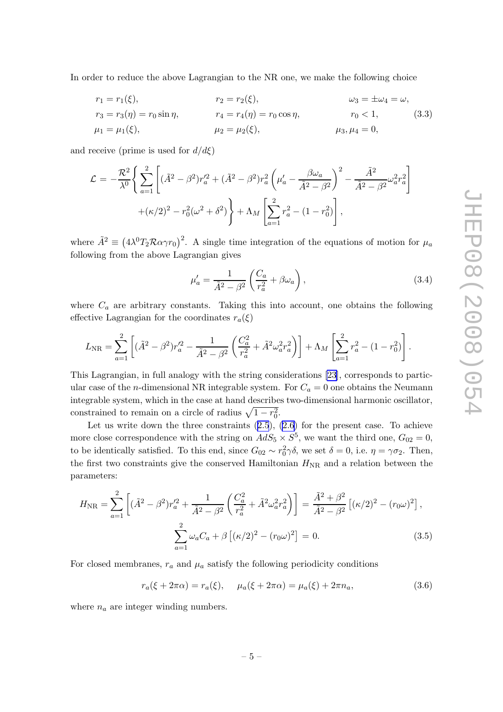<span id="page-5-0"></span>In order to reduce the above Lagrangian to the NR one, we make the following choice

$$
r_1 = r_1(\xi), \t r_2 = r_2(\xi), \t \omega_3 = \pm \omega_4 = \omega, \n r_3 = r_3(\eta) = r_0 \sin \eta, \t r_4 = r_4(\eta) = r_0 \cos \eta, \t r_0 < 1, \t (3.3) \n \mu_1 = \mu_1(\xi), \t \mu_2 = \mu_2(\xi), \t \mu_3, \mu_4 = 0,
$$
\n(3.4)

and receive (prime is used for  $d/d\xi$ )

$$
\mathcal{L} = -\frac{\mathcal{R}^2}{\lambda^0} \left\{ \sum_{a=1}^2 \left[ (\tilde{A}^2 - \beta^2) r_a'^2 + (\tilde{A}^2 - \beta^2) r_a^2 \left( \mu_a' - \frac{\beta \omega_a}{\tilde{A}^2 - \beta^2} \right)^2 - \frac{\tilde{A}^2}{\tilde{A}^2 - \beta^2} \omega_a^2 r_a^2 \right] + (\kappa/2)^2 - r_0^2 (\omega^2 + \delta^2) \right\} + \Lambda_M \left[ \sum_{a=1}^2 r_a^2 - (1 - r_0^2) \right],
$$

where  $\tilde{A}^2 \equiv (4\lambda^0 T_2 \mathcal{R} \alpha \gamma r_0)^2$ . A single time integration of the equations of motion for  $\mu_a$ following from the above Lagrangian gives

$$
\mu'_a = \frac{1}{\tilde{A}^2 - \beta^2} \left( \frac{C_a}{r_a^2} + \beta \omega_a \right),\tag{3.4}
$$

where  $C_a$  are arbitrary constants. Taking this into account, one obtains the following effective Lagrangian for the coordinates  $r_a(\xi)$ 

$$
L_{\rm NR} = \sum_{a=1}^{2} \left[ (\tilde{A}^2 - \beta^2) r_a'^2 - \frac{1}{\tilde{A}^2 - \beta^2} \left( \frac{C_a^2}{r_a^2} + \tilde{A}^2 \omega_a^2 r_a^2 \right) \right] + \Lambda_M \left[ \sum_{a=1}^{2} r_a^2 - (1 - r_0^2) \right].
$$

This Lagrangian, in full analogy with the string considerations [\[23](#page-19-0)], corresponds to particular case of the *n*-dimensional NR integrable system. For  $C_a = 0$  one obtains the Neumann integrable system, which in the case at hand describes two-dimensional harmonic oscillator, constrained to remain on a circle of radius  $\sqrt{1 - r_0^2}$ .

Let us write down the three constraints  $(2.5)$  $(2.5)$  $(2.5)$ ,  $(2.6)$  $(2.6)$  for the present case. To achieve more close correspondence with the string on  $AdS_5 \times S^5$ , we want the third one,  $G_{02} = 0$ , to be identically satisfied. To this end, since  $G_{02} \sim r_0^2 \gamma \delta$ , we set  $\delta = 0$ , i.e.  $\eta = \gamma \sigma_2$ . Then, the first two constraints give the conserved Hamiltonian  $H_{\rm NR}$  and a relation between the parameters:

$$
H_{\rm NR} = \sum_{a=1}^{2} \left[ (\tilde{A}^2 - \beta^2) r_a'^2 + \frac{1}{\tilde{A}^2 - \beta^2} \left( \frac{C_a^2}{r_a^2} + \tilde{A}^2 \omega_a^2 r_a^2 \right) \right] = \frac{\tilde{A}^2 + \beta^2}{\tilde{A}^2 - \beta^2} \left[ (\kappa/2)^2 - (r_0 \omega)^2 \right],
$$
  

$$
\sum_{a=1}^{2} \omega_a C_a + \beta \left[ (\kappa/2)^2 - (r_0 \omega)^2 \right] = 0.
$$
 (3.5)

For closed membranes,  $r_a$  and  $\mu_a$  satisfy the following periodicity conditions

$$
r_a(\xi + 2\pi\alpha) = r_a(\xi), \quad \mu_a(\xi + 2\pi\alpha) = \mu_a(\xi) + 2\pi n_a,
$$
\n(3.6)

where  $n_a$  are integer winding numbers.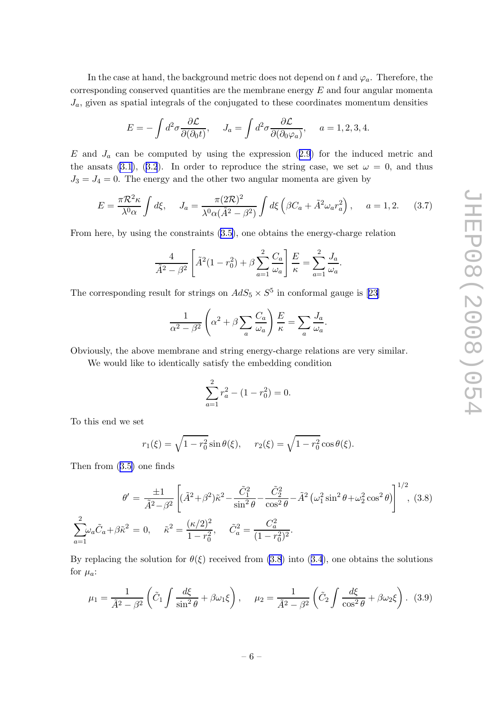<span id="page-6-0"></span>In the case at hand, the background metric does not depend on t and  $\varphi_a$ . Therefore, the corresponding conserved quantities are the membrane energy  $E$  and four angular momenta  $J_a$ , given as spatial integrals of the conjugated to these coordinates momentum densities

$$
E = -\int d^2\sigma \frac{\partial \mathcal{L}}{\partial(\partial_0 t)}, \quad J_a = \int d^2\sigma \frac{\partial \mathcal{L}}{\partial(\partial_0 \varphi_a)}, \quad a = 1, 2, 3, 4.
$$

E and  $J_a$  can be computed by using the expression ([2.9](#page-4-0)) for the induced metric and the ansats [\(3.1](#page-4-0)), ([3.2](#page-4-0)). In order to reproduce the string case, we set  $\omega = 0$ , and thus  $J_3 = J_4 = 0$ . The energy and the other two angular momenta are given by

$$
E = \frac{\pi \mathcal{R}^2 \kappa}{\lambda^0 \alpha} \int d\xi, \quad J_a = \frac{\pi (2\mathcal{R})^2}{\lambda^0 \alpha (\tilde{A}^2 - \beta^2)} \int d\xi \left( \beta C_a + \tilde{A}^2 \omega_a r_a^2 \right), \quad a = 1, 2. \quad (3.7)
$$

From here, by using the constraints [\(3.5\)](#page-5-0), one obtains the energy-charge relation

$$
\frac{4}{\tilde{A}^2 - \beta^2} \left[ \tilde{A}^2 (1 - r_0^2) + \beta \sum_{a=1}^2 \frac{C_a}{\omega_a} \right] \frac{E}{\kappa} = \sum_{a=1}^2 \frac{J_a}{\omega_a}.
$$

The corresponding result for strings on  $AdS_5 \times S^5$  in conformal gauge is [\[23\]](#page-19-0)

$$
\frac{1}{\alpha^2 - \beta^2} \left( \alpha^2 + \beta \sum_a \frac{C_a}{\omega_a} \right) \frac{E}{\kappa} = \sum_a \frac{J_a}{\omega_a}.
$$

Obviously, the above membrane and string energy-charge relations are very similar.

We would like to identically satisfy the embedding condition

$$
\sum_{a=1}^{2} r_a^2 - (1 - r_0^2) = 0.
$$

To this end we set

$$
r_1(\xi) = \sqrt{1 - r_0^2} \sin \theta(\xi), \quad r_2(\xi) = \sqrt{1 - r_0^2} \cos \theta(\xi).
$$

Then from ([3.5\)](#page-5-0) one finds

$$
\theta' = \frac{\pm 1}{\tilde{A}^2 - \beta^2} \left[ (\tilde{A}^2 + \beta^2) \tilde{\kappa}^2 - \frac{\tilde{C}_1^2}{\sin^2 \theta} - \frac{\tilde{C}_2^2}{\cos^2 \theta} - \tilde{A}^2 \left( \omega_1^2 \sin^2 \theta + \omega_2^2 \cos^2 \theta \right) \right]^{1/2}, (3.8)
$$
  

$$
\sum_{a=1}^2 \omega_a \tilde{C}_a + \beta \tilde{\kappa}^2 = 0, \quad \tilde{\kappa}^2 = \frac{(\kappa/2)^2}{1 - r_0^2}, \quad \tilde{C}_a^2 = \frac{C_a^2}{(1 - r_0^2)^2}.
$$

By replacing the solution for  $\theta(\xi)$  received from (3.8) into ([3.4](#page-5-0)), one obtains the solutions for  $\mu_a$ :

$$
\mu_1 = \frac{1}{\tilde{A}^2 - \beta^2} \left( \tilde{C}_1 \int \frac{d\xi}{\sin^2 \theta} + \beta \omega_1 \xi \right), \quad \mu_2 = \frac{1}{\tilde{A}^2 - \beta^2} \left( \tilde{C}_2 \int \frac{d\xi}{\cos^2 \theta} + \beta \omega_2 \xi \right). \tag{3.9}
$$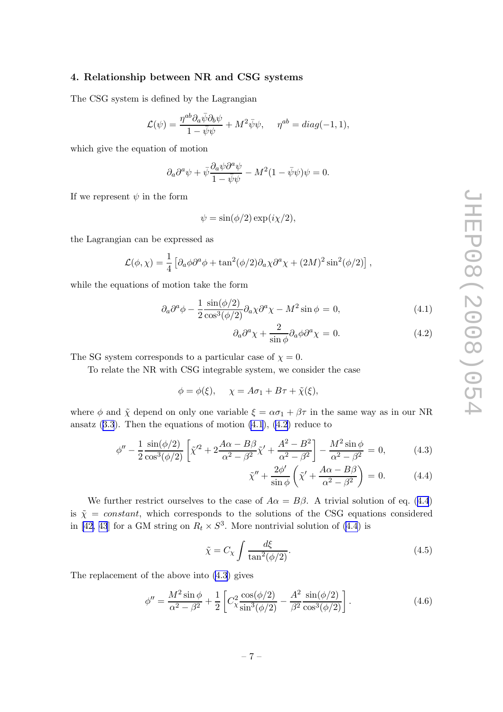#### <span id="page-7-0"></span>4. Relationship between NR and CSG systems

The CSG system is defined by the Lagrangian

$$
\mathcal{L}(\psi) = \frac{\eta^{ab} \partial_a \bar{\psi} \partial_b \psi}{1 - \bar{\psi} \psi} + M^2 \bar{\psi} \psi, \quad \eta^{ab} = diag(-1, 1),
$$

which give the equation of motion

$$
\partial_a \partial^a \psi + \bar{\psi} \frac{\partial_a \psi \partial^a \psi}{1 - \bar{\psi} \psi} - M^2 (1 - \bar{\psi} \psi) \psi = 0.
$$

If we represent  $\psi$  in the form

$$
\psi = \sin(\phi/2) \exp(i\chi/2),
$$

the Lagrangian can be expressed as

$$
\mathcal{L}(\phi, \chi) = \frac{1}{4} \left[ \partial_a \phi \partial^a \phi + \tan^2(\phi/2) \partial_a \chi \partial^a \chi + (2M)^2 \sin^2(\phi/2) \right],
$$

while the equations of motion take the form

$$
\partial_a \partial^a \phi - \frac{1}{2} \frac{\sin(\phi/2)}{\cos^3(\phi/2)} \partial_a \chi \partial^a \chi - M^2 \sin \phi = 0, \tag{4.1}
$$

$$
\partial_a \partial^a \chi + \frac{2}{\sin \phi} \partial_a \phi \partial^a \chi = 0. \tag{4.2}
$$

The SG system corresponds to a particular case of  $\chi = 0$ .

To relate the NR with CSG integrable system, we consider the case

$$
\phi = \phi(\xi), \quad \chi = A\sigma_1 + B\tau + \tilde{\chi}(\xi),
$$

where  $\phi$  and  $\tilde{\chi}$  depend on only one variable  $\xi = \alpha \sigma_1 + \beta \tau$  in the same way as in our NR ansatz  $(3.3)$  $(3.3)$  $(3.3)$ . Then the equations of motion  $(4.1)$ ,  $(4.2)$  reduce to

$$
\phi'' - \frac{1}{2} \frac{\sin(\phi/2)}{\cos^3(\phi/2)} \left[ \tilde{\chi}'^2 + 2 \frac{A\alpha - B\beta}{\alpha^2 - \beta^2} \tilde{\chi}' + \frac{A^2 - B^2}{\alpha^2 - \beta^2} \right] - \frac{M^2 \sin \phi}{\alpha^2 - \beta^2} = 0,
$$
 (4.3)

$$
\tilde{\chi}'' + \frac{2\phi'}{\sin\phi} \left( \tilde{\chi}' + \frac{A\alpha - B\beta}{\alpha^2 - \beta^2} \right) = 0. \tag{4.4}
$$

We further restrict ourselves to the case of  $A\alpha = B\beta$ . A trivial solution of eq. (4.4) is  $\tilde{\chi} = constant$ , which corresponds to the solutions of the CSG equations considered in [\[42, 43](#page-20-0)] for a GM string on  $R_t \times S^3$ . More nontrivial solution of (4.4) is

$$
\tilde{\chi} = C_{\chi} \int \frac{d\xi}{\tan^2(\phi/2)}.
$$
\n(4.5)

The replacement of the above into (4.3) gives

$$
\phi'' = \frac{M^2 \sin \phi}{\alpha^2 - \beta^2} + \frac{1}{2} \left[ C_{\chi}^2 \frac{\cos(\phi/2)}{\sin^3(\phi/2)} - \frac{A^2}{\beta^2} \frac{\sin(\phi/2)}{\cos^3(\phi/2)} \right].
$$
 (4.6)

$$
-7-
$$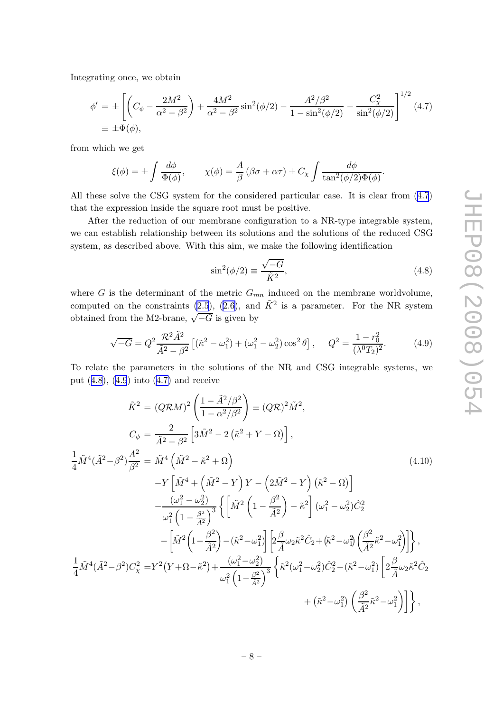<span id="page-8-0"></span>Integrating once, we obtain

$$
\phi' = \pm \left[ \left( C_{\phi} - \frac{2M^2}{\alpha^2 - \beta^2} \right) + \frac{4M^2}{\alpha^2 - \beta^2} \sin^2(\phi/2) - \frac{A^2/\beta^2}{1 - \sin^2(\phi/2)} - \frac{C_{\chi}^2}{\sin^2(\phi/2)} \right]^{1/2} (4.7)
$$
  
\n
$$
\equiv \pm \Phi(\phi),
$$

from which we get

$$
\xi(\phi) = \pm \int \frac{d\phi}{\Phi(\phi)}, \qquad \chi(\phi) = \frac{A}{\beta} (\beta \sigma + \alpha \tau) \pm C_{\chi} \int \frac{d\phi}{\tan^2(\phi/2)\Phi(\phi)}.
$$

All these solve the CSG system for the considered particular case. It is clear from (4.7) that the expression inside the square root must be positive.

After the reduction of our membrane configuration to a NR-type integrable system, we can establish relationship between its solutions and the solutions of the reduced CSG system, as described above. With this aim, we make the following identification

$$
\sin^2(\phi/2) \equiv \frac{\sqrt{-G}}{\tilde{K}^2},\tag{4.8}
$$

where G is the determinant of the metric  $G_{mn}$  induced on the membrane worldvolume, computed on the constraints [\(2.5](#page-3-0)), ([2.6\)](#page-3-0), and  $\tilde{K}^2$  is a parameter. For the NR system obtained from the M2-brane,  $\sqrt{-G}$  is given by

$$
\sqrt{-G} = Q^2 \frac{\mathcal{R}^2 \tilde{A}^2}{\tilde{A}^2 - \beta^2} \left[ (\tilde{\kappa}^2 - \omega_1^2) + (\omega_1^2 - \omega_2^2) \cos^2 \theta \right], \quad Q^2 = \frac{1 - r_0^2}{(\lambda^0 T_2)^2}.
$$
 (4.9)

To relate the parameters in the solutions of the NR and CSG integrable systems, we put (4.8), (4.9) into (4.7) and receive

$$
\tilde{K}^{2} = (Q\mathcal{R}M)^{2} \left( \frac{1 - \tilde{A}^{2}/\beta^{2}}{1 - \alpha^{2}/\beta^{2}} \right) \equiv (Q\mathcal{R})^{2}\tilde{M}^{2},
$$
\n
$$
C_{\phi} = \frac{2}{\tilde{A}^{2} - \beta^{2}} \left[ 3\tilde{M}^{2} - 2(\tilde{\kappa}^{2} + Y - \Omega) \right],
$$
\n
$$
\frac{1}{4}\tilde{M}^{4}(\tilde{A}^{2} - \beta^{2})\frac{A^{2}}{\beta^{2}} = \tilde{M}^{4}(\tilde{M}^{2} - \tilde{\kappa}^{2} + \Omega)
$$
\n
$$
-Y\left[ \tilde{M}^{4} + (\tilde{M}^{2} - Y)Y - (2\tilde{M}^{2} - Y)(\tilde{\kappa}^{2} - \Omega) \right]
$$
\n
$$
-\frac{(\omega_{1}^{2} - \omega_{2}^{2})}{\omega_{1}^{2} (1 - \frac{\beta^{2}}{\tilde{A}^{2}})^{3}} \left\{ \left[ \tilde{M}^{2} (1 - \frac{\beta^{2}}{\tilde{A}^{2}}) - \tilde{\kappa}^{2} \right] (\omega_{1}^{2} - \omega_{2}^{2})\tilde{C}_{2}^{2} - \left[ \tilde{M}^{2} (1 - \frac{\beta^{2}}{\tilde{A}^{2}}) - (\tilde{\kappa}^{2} - \omega_{1}^{2}) \right] \left[ 2\frac{\beta}{\tilde{A}}\omega_{2}\tilde{\kappa}^{2}\tilde{C}_{2} + (\tilde{\kappa}^{2} - \omega_{1}^{2}) \left( \frac{\beta^{2}}{\tilde{A}^{2}}\tilde{\kappa}^{2} - \omega_{1}^{2} \right) \right] \right\},
$$
\n
$$
\frac{1}{4}\tilde{M}^{4}(\tilde{A}^{2} - \beta^{2})C_{\chi}^{2} = Y^{2}(Y + \Omega - \tilde{\kappa}^{2}) + \frac{(\omega_{1}^{2} - \omega_{2}^{2})}{\omega_{1}^{2} (1 - \frac{\beta^{2}}{\tilde{A}^{2}})^{3}} \left\{ \tilde{\kappa}^{2}(\omega_{1}^{2} - \omega_{2}^{2})\
$$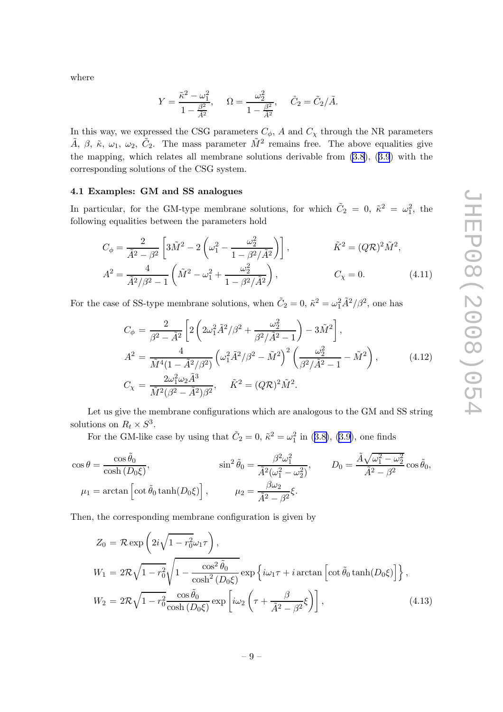<span id="page-9-0"></span>where

$$
Y = \frac{\tilde{\kappa}^2 - \omega_1^2}{1 - \frac{\beta^2}{\tilde{A}^2}}, \quad \Omega = \frac{\omega_2^2}{1 - \frac{\beta^2}{\tilde{A}^2}}, \quad \hat{C}_2 = \tilde{C}_2/\tilde{A}.
$$

In this way, we expressed the CSG parameters  $C_{\phi}$ , A and  $C_{\chi}$  through the NR parameters  $\tilde{A}$ ,  $\beta$ ,  $\tilde{\kappa}$ ,  $\omega_1$ ,  $\omega_2$ ,  $\tilde{C}_2$ . The mass parameter  $\tilde{M}^2$  remains free. The above equalities give the mapping, which relates all membrane solutions derivable from [\(3.8](#page-6-0)), ([3.9](#page-6-0)) with the corresponding solutions of the CSG system.

#### 4.1 Examples: GM and SS analogues

In particular, for the GM-type membrane solutions, for which  $\tilde{C}_2 = 0$ ,  $\tilde{\kappa}^2 = \omega_1^2$ , the following equalities between the parameters hold

$$
C_{\phi} = \frac{2}{\tilde{A}^2 - \beta^2} \left[ 3\tilde{M}^2 - 2\left(\omega_1^2 - \frac{\omega_2^2}{1 - \beta^2/\tilde{A}^2}\right) \right], \qquad \tilde{K}^2 = (Q\mathcal{R})^2 \tilde{M}^2,
$$
  

$$
A^2 = \frac{4}{\tilde{A}^2/\beta^2 - 1} \left(\tilde{M}^2 - \omega_1^2 + \frac{\omega_2^2}{1 - \beta^2/\tilde{A}^2}\right), \qquad C_{\chi} = 0.
$$
 (4.11)

For the case of SS-type membrane solutions, when  $\tilde{C}_2 = 0$ ,  $\tilde{\kappa}^2 = \omega_1^2 \tilde{A}^2 / \beta^2$ , one has

$$
C_{\phi} = \frac{2}{\beta^2 - \tilde{A}^2} \left[ 2 \left( 2\omega_1^2 \tilde{A}^2 / \beta^2 + \frac{\omega_2^2}{\beta^2 / \tilde{A}^2 - 1} \right) - 3\tilde{M}^2 \right],
$$
  
\n
$$
A^2 = \frac{4}{\tilde{M}^4 (1 - \tilde{A}^2 / \beta^2)} \left( \omega_1^2 \tilde{A}^2 / \beta^2 - \tilde{M}^2 \right)^2 \left( \frac{\omega_2^2}{\beta^2 / \tilde{A}^2 - 1} - \tilde{M}^2 \right),
$$
  
\n
$$
C_{\chi} = \frac{2\omega_1^2 \omega_2 \tilde{A}^3}{\tilde{M}^2 (\beta^2 - \tilde{A}^2) \beta^2}, \quad \tilde{K}^2 = (Q\mathcal{R})^2 \tilde{M}^2.
$$
\n(4.12)

Let us give the membrane configurations which are analogous to the GM and SS string solutions on  $R_t \times S^3$ .

For the GM-like case by using that  $\tilde{C}_2 = 0$ ,  $\tilde{\kappa}^2 = \omega_1^2$  in ([3.8\)](#page-6-0), ([3.9\)](#page-6-0), one finds

$$
\cos \theta = \frac{\cos \tilde{\theta}_0}{\cosh (D_0 \xi)}, \qquad \sin^2 \tilde{\theta}_0 = \frac{\beta^2 \omega_1^2}{\tilde{A}^2 (\omega_1^2 - \omega_2^2)}, \qquad D_0 = \frac{\tilde{A} \sqrt{\omega_1^2 - \omega_2^2}}{\tilde{A}^2 - \beta^2} \cos \tilde{\theta}_0,
$$
  

$$
\mu_1 = \arctan \left[ \cot \tilde{\theta}_0 \tanh(D_0 \xi) \right], \qquad \mu_2 = \frac{\beta \omega_2}{\tilde{A}^2 - \beta^2} \xi.
$$

Then, the corresponding membrane configuration is given by

$$
Z_0 = \mathcal{R} \exp\left(2i\sqrt{1 - r_0^2}\omega_1\tau\right),
$$
  
\n
$$
W_1 = 2\mathcal{R}\sqrt{1 - r_0^2}\sqrt{1 - \frac{\cos^2\tilde{\theta}_0}{\cosh^2(D_0\xi)}} \exp\left\{i\omega_1\tau + i\arctan\left[\cot\tilde{\theta}_0\tanh(D_0\xi)\right]\right\},
$$
  
\n
$$
W_2 = 2\mathcal{R}\sqrt{1 - r_0^2}\frac{\cos\tilde{\theta}_0}{\cosh(D_0\xi)} \exp\left[i\omega_2\left(\tau + \frac{\beta}{\tilde{A}^2 - \beta^2}\xi\right)\right],
$$
\n(4.13)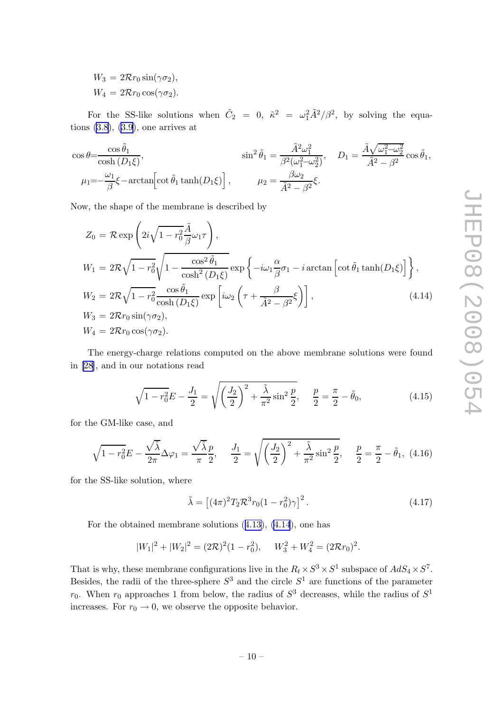<span id="page-10-0"></span> $W_3 = 2\mathcal{R}r_0 \sin(\gamma \sigma_2),$  $W_4 = 2\mathcal{R}r_0 \cos(\gamma \sigma_2).$ 

For the SS-like solutions when  $\tilde{C}_2 = 0$ ,  $\tilde{\kappa}^2 = \omega_1^2 \tilde{A}^2 / \beta^2$ , by solving the equations  $(3.8)$  $(3.8)$ ,  $(3.9)$  $(3.9)$ , one arrives at

$$
\cos \theta = \frac{\cos \tilde{\theta}_1}{\cosh (D_1 \xi)},
$$
\n
$$
\sin^2 \tilde{\theta}_1 = \frac{\tilde{A}^2 \omega_1^2}{\beta^2 (\omega_1^2 - \omega_2^2)},
$$
\n
$$
D_1 = \frac{\tilde{A} \sqrt{\omega_1^2 - \omega_2^2}}{\tilde{A}^2 - \beta^2} \cos \tilde{\theta}_1,
$$
\n
$$
\mu_1 = -\frac{\omega_1}{\beta} \xi - \arctan \left[ \cot \tilde{\theta}_1 \tanh(D_1 \xi) \right],
$$
\n
$$
\mu_2 = \frac{\beta \omega_2}{\tilde{A}^2 - \beta^2} \xi.
$$

Now, the shape of the membrane is described by

$$
Z_0 = \mathcal{R} \exp\left(2i\sqrt{1 - r_0^2} \frac{\tilde{A}}{\beta} \omega_1 \tau\right),
$$
  
\n
$$
W_1 = 2\mathcal{R}\sqrt{1 - r_0^2} \sqrt{1 - \frac{\cos^2 \tilde{\theta}_1}{\cosh^2(D_1\xi)}} \exp\left\{-i\omega_1 \frac{\alpha}{\beta} \sigma_1 - i \arctan\left[\cot \tilde{\theta}_1 \tanh(D_1\xi)\right]\right\},
$$
  
\n
$$
W_2 = 2\mathcal{R}\sqrt{1 - r_0^2} \frac{\cos \tilde{\theta}_1}{\cosh(D_1\xi)} \exp\left[i\omega_2 \left(\tau + \frac{\beta}{\tilde{A}^2 - \beta^2} \xi\right)\right],
$$
  
\n
$$
W_3 = 2\mathcal{R}r_0 \sin(\gamma \sigma_2),
$$
  
\n
$$
W_4 = 2\mathcal{R}r_0 \cos(\gamma \sigma_2).
$$
  
\n(4.14)

The energy-charge relations computed on the above membrane solutions were found in [\[28\]](#page-19-0), and in our notations read

$$
\sqrt{1 - r_0^2} E - \frac{J_1}{2} = \sqrt{\left(\frac{J_2}{2}\right)^2 + \frac{\tilde{\lambda}}{\pi^2} \sin^2 \frac{p}{2}}, \quad \frac{p}{2} = \frac{\pi}{2} - \tilde{\theta}_0,
$$
\n(4.15)

for the GM-like case, and

$$
\sqrt{1 - r_0^2} E - \frac{\sqrt{\tilde{\lambda}}}{2\pi} \Delta \varphi_1 = \frac{\sqrt{\tilde{\lambda}} p}{\pi \ 2}, \quad \frac{J_1}{2} = \sqrt{\left(\frac{J_2}{2}\right)^2 + \frac{\tilde{\lambda}}{\pi^2} \sin^2 \frac{p}{2}}, \quad \frac{p}{2} = \frac{\pi}{2} - \tilde{\theta}_1, \tag{4.16}
$$

for the SS-like solution, where

$$
\tilde{\lambda} = \left[ (4\pi)^2 T_2 \mathcal{R}^3 r_0 (1 - r_0^2) \gamma \right]^2.
$$
\n(4.17)

For the obtained membrane solutions ([4.13\)](#page-9-0), (4.14), one has

$$
|W_1|^2 + |W_2|^2 = (2\mathcal{R})^2 (1 - r_0^2), \quad W_3^2 + W_4^2 = (2\mathcal{R}r_0)^2.
$$

That is why, these membrane configurations live in the  $R_t \times S^3 \times S^1$  subspace of  $AdS_4 \times S^7$ . Besides, the radii of the three-sphere  $S^3$  and the circle  $S^1$  are functions of the parameter  $r_0$ . When  $r_0$  approaches 1 from below, the radius of  $S^3$  decreases, while the radius of  $S^1$ increases. For  $r_0 \rightarrow 0$ , we observe the opposite behavior.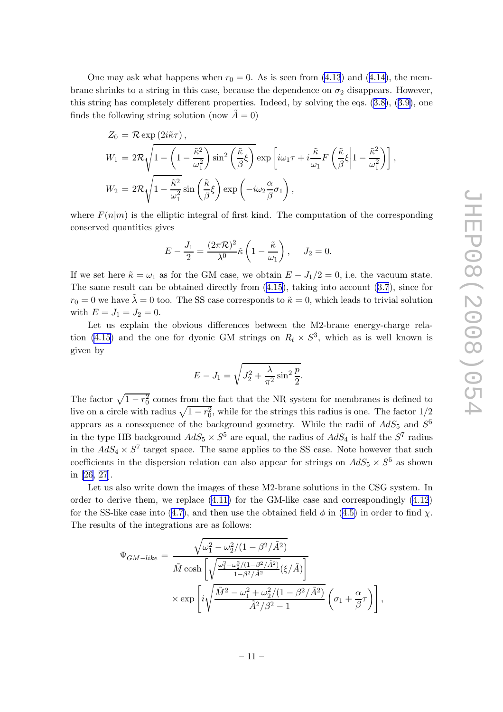One may ask what happens when  $r_0 = 0$ . As is seen from [\(4.13](#page-9-0)) and ([4.14\)](#page-10-0), the membrane shrinks to a string in this case, because the dependence on  $\sigma_2$  disappears. However, this string has completely different properties. Indeed, by solving the eqs. ([3.8\)](#page-6-0), ([3.9\)](#page-6-0), one finds the following string solution (now  $\tilde{A} = 0$ )

$$
Z_0 = \mathcal{R} \exp(2i\tilde{\kappa}\tau),
$$
  
\n
$$
W_1 = 2\mathcal{R}\sqrt{1 - \left(1 - \frac{\tilde{\kappa}^2}{\omega_1^2}\right) \sin^2\left(\frac{\tilde{\kappa}}{\beta}\xi\right)} \exp\left[i\omega_1\tau + i\frac{\tilde{\kappa}}{\omega_1}F\left(\frac{\tilde{\kappa}}{\beta}\xi\middle|1 - \frac{\tilde{\kappa}^2}{\omega_1^2}\right)\right],
$$
  
\n
$$
W_2 = 2\mathcal{R}\sqrt{1 - \frac{\tilde{\kappa}^2}{\omega_1^2}} \sin\left(\frac{\tilde{\kappa}}{\beta}\xi\right) \exp\left(-i\omega_2\frac{\alpha}{\beta}\sigma_1\right),
$$

where  $F(n|m)$  is the elliptic integral of first kind. The computation of the corresponding conserved quantities gives

$$
E - \frac{J_1}{2} = \frac{(2\pi\mathcal{R})^2}{\lambda^0} \tilde{\kappa} \left(1 - \frac{\tilde{\kappa}}{\omega_1}\right), \quad J_2 = 0.
$$

If we set here  $\tilde{\kappa} = \omega_1$  as for the GM case, we obtain  $E - J_1/2 = 0$ , i.e. the vacuum state. The same result can be obtained directly from [\(4.15](#page-10-0)), taking into account ([3.7](#page-6-0)), since for  $r_0 = 0$  we have  $\lambda = 0$  too. The SS case corresponds to  $\tilde{\kappa} = 0$ , which leads to trivial solution with  $E = J_1 = J_2 = 0$ .

Let us explain the obvious differences between the M2-brane energy-charge rela-tion [\(4.15\)](#page-10-0) and the one for dyonic GM strings on  $R_t \times S^3$ , which as is well known is given by

$$
E-J_1 = \sqrt{J_2^2 + \frac{\lambda}{\pi^2} \sin^2 \frac{p}{2}}.
$$

The factor  $\sqrt{1 - r_0^2}$  comes from the fact that the NR system for membranes is defined to live on a circle with radius  $\sqrt{1 - r_0^2}$ , while for the strings this radius is one. The factor  $1/2$ appears as a consequence of the background geometry. While the radii of  $AdS_5$  and  $S^5$ in the type IIB background  $AdS_5 \times S^5$  are equal, the radius of  $AdS_4$  is half the  $S^7$  radius in the  $AdS_4 \times S^7$  target space. The same applies to the SS case. Note however that such coefficients in the dispersion relation can also appear for strings on  $AdS_5 \times S^5$  as shown in [\[26, 27](#page-19-0)].

Let us also write down the images of these M2-brane solutions in the CSG system. In order to derive them, we replace  $(4.11)$  for the GM-like case and correspondingly  $(4.12)$  $(4.12)$ for the SS-like case into ([4.7\)](#page-8-0), and then use the obtained field  $\phi$  in [\(4.5\)](#page-7-0) in order to find  $\chi$ . The results of the integrations are as follows:

$$
\Psi_{GM-like} = \frac{\sqrt{\omega_1^2 - \omega_2^2/(1 - \beta^2/\tilde{A}^2)}}{\tilde{M} \cosh\left[\sqrt{\frac{\omega_1^2 - \omega_2^2/(1 - \beta^2/\tilde{A}^2)}{1 - \beta^2/\tilde{A}^2}}(\xi/\tilde{A})\right]}\n\times \exp\left[i\sqrt{\frac{\tilde{M}^2 - \omega_1^2 + \omega_2^2/(1 - \beta^2/\tilde{A}^2)}{\tilde{A}^2/\beta^2 - 1}}\left(\sigma_1 + \frac{\alpha}{\beta}\tau\right)\right],
$$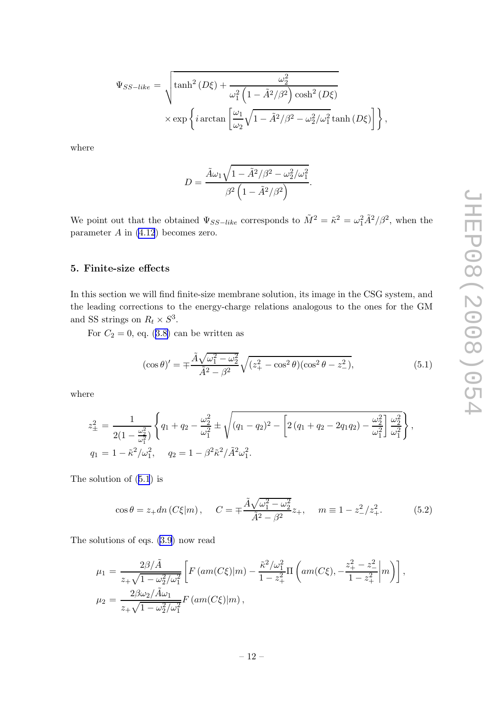<span id="page-12-0"></span>
$$
\Psi_{SS-like} = \sqrt{\tanh^2(D\xi) + \frac{\omega_2^2}{\omega_1^2 \left(1 - \tilde{A}^2/\beta^2\right) \cosh^2(D\xi) \times \exp\left\{i \arctan\left[\frac{\omega_1}{\omega_2}\sqrt{1 - \tilde{A}^2/\beta^2 - \omega_2^2/\omega_1^2} \tanh(D\xi)\right]\right\}},
$$

where

$$
D = \frac{\tilde{A}\omega_1\sqrt{1-\tilde{A}^2/\beta^2-\omega_2^2/\omega_1^2}}{\beta^2\left(1-\tilde{A}^2/\beta^2\right)}.
$$

We point out that the obtained  $\Psi_{SS-like}$  corresponds to  $\tilde{M}^2 = \tilde{\kappa}^2 = \omega_1^2 \tilde{A}^2/\beta^2$ , when the parameter  $A$  in  $(4.12)$  $(4.12)$  becomes zero.

# 5. Finite-size effects

In this section we will find finite-size membrane solution, its image in the CSG system, and the leading corrections to the energy-charge relations analogous to the ones for the GM and SS strings on  $R_t \times S^3$ .

For  $C_2 = 0$ , eq. [\(3.8\)](#page-6-0) can be written as

$$
(\cos \theta)' = \pm \frac{\tilde{A}\sqrt{\omega_1^2 - \omega_2^2}}{\tilde{A}^2 - \beta^2} \sqrt{(z_+^2 - \cos^2 \theta)(\cos^2 \theta - z_-^2)},
$$
(5.1)

where

$$
z_{\pm}^{2} = \frac{1}{2(1 - \frac{\omega_{2}^{2}}{\omega_{1}^{2}})} \left\{ q_{1} + q_{2} - \frac{\omega_{2}^{2}}{\omega_{1}^{2}} \pm \sqrt{(q_{1} - q_{2})^{2} - \left[ 2(q_{1} + q_{2} - 2q_{1}q_{2}) - \frac{\omega_{2}^{2}}{\omega_{1}^{2}} \right] \frac{\omega_{2}^{2}}{\omega_{1}^{2}} \right\},
$$
  
\n
$$
q_{1} = 1 - \tilde{\kappa}^{2}/\omega_{1}^{2}, \quad q_{2} = 1 - \beta^{2} \tilde{\kappa}^{2} / \tilde{A}^{2} \omega_{1}^{2}.
$$

The solution of (5.1) is

$$
\cos \theta = z_+ dn \left( C \xi | m \right), \quad C = \pm \frac{\tilde{A} \sqrt{\omega_1^2 - \omega_2^2}}{\tilde{A}^2 - \beta^2} z_+, \quad m \equiv 1 - z_-^2 / z_+^2. \tag{5.2}
$$

The solutions of eqs. [\(3.9](#page-6-0)) now read

$$
\mu_1 = \frac{2\beta/\tilde{A}}{z_+\sqrt{1-\omega_2^2/\omega_1^2}} \left[ F\left( am(C\xi) \middle| m \right) - \frac{\tilde{\kappa}^2/\omega_1^2}{1-z_+^2} \Pi \left( am(C\xi), -\frac{z_+^2-z_-^2}{1-z_+^2} \middle| m \right) \right],
$$
  
\n
$$
\mu_2 = \frac{2\beta\omega_2/\tilde{A}\omega_1}{z_+\sqrt{1-\omega_2^2/\omega_1^2}} F\left( am(C\xi) \middle| m \right),
$$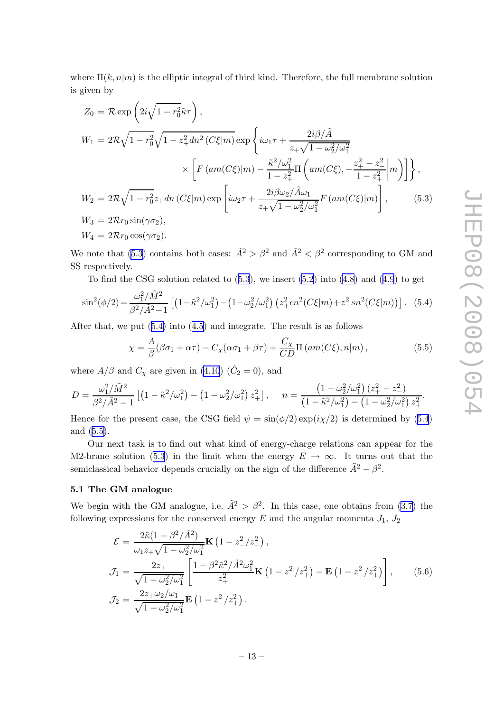<span id="page-13-0"></span>where  $\Pi(k,n|m)$  is the elliptic integral of third kind. Therefore, the full membrane solution is given by

$$
Z_0 = \mathcal{R} \exp\left(2i\sqrt{1 - r_0^2}\tilde{\kappa}\tau\right),
$$
  
\n
$$
W_1 = 2\mathcal{R}\sqrt{1 - r_0^2}\sqrt{1 - z_+^2dn^2\left(C\xi|m\right)} \exp\left\{i\omega_1\tau + \frac{2i\beta/\tilde{A}}{z_+\sqrt{1 - \omega_2^2/\omega_1^2}}\right\}
$$
  
\n
$$
\times \left[F\left(an(C\xi)|m\right) - \frac{\tilde{\kappa}^2/\omega_1^2}{1 - z_+^2}\Pi\left(am(C\xi), -\frac{z_+^2 - z_-^2}{1 - z_+^2}\right|m\right)\right],
$$
  
\n
$$
W_2 = 2\mathcal{R}\sqrt{1 - r_0^2}z_+\,dn\left(C\xi|m\right)\exp\left[i\omega_2\tau + \frac{2i\beta\omega_2/\tilde{A}\omega_1}{z_+\sqrt{1 - \omega_2^2/\omega_1^2}}F\left(am(C\xi)|m\right)\right],
$$
  
\n
$$
W_3 = 2\mathcal{R}r_0\sin(\gamma\sigma_2),
$$
  
\nW<sub>1</sub> = 2\mathcal{R}r\_0\sin(\gamma\sigma\_2), (5.3)

 $W_4 = 2\mathcal{R}r_0 \cos(\gamma \sigma_2).$ 

We note that (5.3) contains both cases:  $\tilde{A}^2 > \beta^2$  and  $\tilde{A}^2 < \beta^2$  corresponding to GM and SS respectively.

To find the CSG solution related to  $(5.3)$ , we insert  $(5.2)$  $(5.2)$  into  $(4.8)$  $(4.8)$  and  $(4.9)$  $(4.9)$  $(4.9)$  to get

$$
\sin^2(\phi/2) = \frac{\omega_1^2/\tilde{M}^2}{\beta^2/\tilde{A}^2 - 1} \left[ \left( 1 - \tilde{\kappa}^2/\omega_1^2 \right) - \left( 1 - \omega_2^2/\omega_1^2 \right) \left( z_+^2 cn^2 (C\xi|m) + z_-^2 sn^2 (C\xi|m) \right) \right].
$$
 (5.4)

After that, we put (5.4) into ([4.5\)](#page-7-0) and integrate. The result is as follows

$$
\chi = \frac{A}{\beta} (\beta \sigma_1 + \alpha \tau) - C_{\chi} (\alpha \sigma_1 + \beta \tau) + \frac{C_{\chi}}{CD} \Pi \left( am(C\xi), n|m \right), \tag{5.5}
$$

where  $A/\beta$  and  $C_\chi$  are given in [\(4.10](#page-8-0)) ( $\hat{C}_2 = 0$ ), and

$$
D = \frac{\omega_1^2/\tilde{M}^2}{\beta^2/\tilde{A}^2 - 1} \left[ \left( 1 - \tilde{\kappa}^2/\omega_1^2 \right) - \left( 1 - \omega_2^2/\omega_1^2 \right) z_+^2 \right], \quad n = \frac{\left( 1 - \omega_2^2/\omega_1^2 \right) \left( z_+^2 - z_-^2 \right)}{\left( 1 - \tilde{\kappa}^2/\omega_1^2 \right) - \left( 1 - \omega_2^2/\omega_1^2 \right) z_+^2}.
$$

Hence for the present case, the CSG field  $\psi = \sin(\phi/2) \exp(i\chi/2)$  is determined by (5.4) and (5.5).

Our next task is to find out what kind of energy-charge relations can appear for the M2-brane solution (5.3) in the limit when the energy  $E \to \infty$ . It turns out that the semiclassical behavior depends crucially on the sign of the difference  $\tilde{A}^2 - \beta^2$ .

# 5.1 The GM analogue

We begin with the GM analogue, i.e.  $\tilde{A}^2 > \beta^2$ . In this case, one obtains from [\(3.7](#page-6-0)) the following expressions for the conserved energy  $E$  and the angular momenta  $J_1$ ,  $J_2$ 

$$
\mathcal{E} = \frac{2\tilde{\kappa}(1-\beta^2/\tilde{A}^2)}{\omega_1 z_+\sqrt{1-\omega_2^2/\omega_1^2}} \mathbf{K} \left(1-z_-^2/z_+^2\right),
$$
\n
$$
\mathcal{J}_1 = \frac{2z_+}{\sqrt{1-\omega_2^2/\omega_1^2}} \left[ \frac{1-\beta^2 \tilde{\kappa}^2/\tilde{A}^2 \omega_1^2}{z_+^2} \mathbf{K} \left(1-z_-^2/z_+^2\right) - \mathbf{E} \left(1-z_-^2/z_+^2\right) \right],
$$
\n
$$
\mathcal{J}_2 = \frac{2z_+\omega_2/\omega_1}{\sqrt{1-\omega_2^2/\omega_1^2}} \mathbf{E} \left(1-z_-^2/z_+^2\right).
$$
\n(5.6)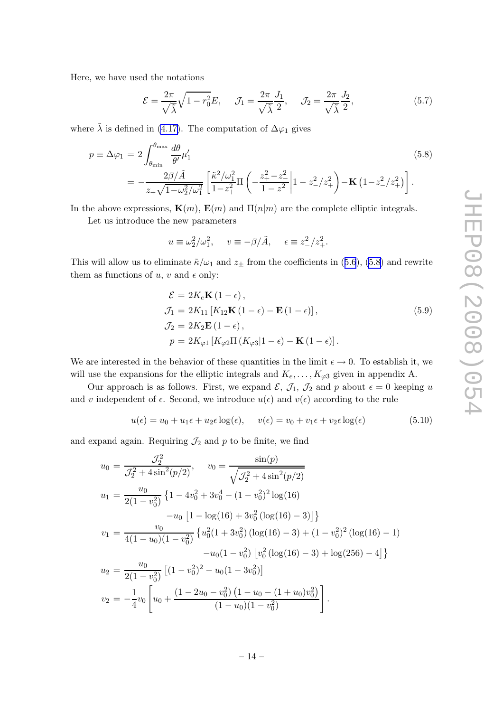<span id="page-14-0"></span>Here, we have used the notations

$$
\mathcal{E} = \frac{2\pi}{\sqrt{\tilde{\lambda}}} \sqrt{1 - r_0^2} E, \quad \mathcal{J}_1 = \frac{2\pi}{\sqrt{\tilde{\lambda}}} \frac{J_1}{2}, \quad \mathcal{J}_2 = \frac{2\pi}{\sqrt{\tilde{\lambda}}} \frac{J_2}{2}, \tag{5.7}
$$

where  $\tilde{\lambda}$  is defined in [\(4.17\)](#page-10-0). The computation of  $\Delta\varphi_1$  gives

$$
p \equiv \Delta \varphi_1 = 2 \int_{\theta_{\min}}^{\theta_{\max}} \frac{d\theta}{\theta'} \mu'_1
$$
\n
$$
= -\frac{2\beta/\tilde{A}}{z_+\sqrt{1-\omega_2^2/\omega_1^2}} \left[ \frac{\tilde{\kappa}^2/\omega_1^2}{1-z_+^2} \Pi \left( -\frac{z_+^2-z_-^2}{1-z_+^2} \Big| 1 - z_-^2/z_+^2 \right) - \mathbf{K} \left( 1 - z_-^2/z_+^2 \right) \right].
$$
\n(5.8)

In the above expressions,  $\mathbf{K}(m)$ ,  $\mathbf{E}(m)$  and  $\Pi(n|m)$  are the complete elliptic integrals.

Let us introduce the new parameters

$$
u \equiv \omega_2^2/\omega_1^2
$$
,  $v \equiv -\beta/\tilde{A}$ ,  $\epsilon \equiv z_-^2/z_+^2$ .

This will allow us to eliminate  $\tilde{\kappa}/\omega_1$  and  $z_{\pm}$  from the coefficients in ([5.6](#page-13-0)), (5.8) and rewrite them as functions of  $u, v$  and  $\epsilon$  only:

$$
\mathcal{E} = 2K_e \mathbf{K} (1 - \epsilon),
$$
  
\n
$$
\mathcal{J}_1 = 2K_{11} [K_{12} \mathbf{K} (1 - \epsilon) - \mathbf{E} (1 - \epsilon)],
$$
  
\n
$$
\mathcal{J}_2 = 2K_2 \mathbf{E} (1 - \epsilon),
$$
  
\n
$$
p = 2K_{\varphi 1} [K_{\varphi 2} \Pi (K_{\varphi 3} | 1 - \epsilon) - \mathbf{K} (1 - \epsilon)].
$$
\n(5.9)

We are interested in the behavior of these quantities in the limit  $\epsilon \to 0$ . To establish it, we will use the expansions for the elliptic integrals and  $K_e, \ldots, K_{\varphi 3}$  given in appendix A.

Our approach is as follows. First, we expand  $\mathcal{E}, \mathcal{J}_1, \mathcal{J}_2$  and p about  $\epsilon = 0$  keeping u and v independent of  $\epsilon$ . Second, we introduce  $u(\epsilon)$  and  $v(\epsilon)$  according to the rule

$$
u(\epsilon) = u_0 + u_1 \epsilon + u_2 \epsilon \log(\epsilon), \quad v(\epsilon) = v_0 + v_1 \epsilon + v_2 \epsilon \log(\epsilon)
$$
 (5.10)

and expand again. Requiring  $\mathcal{J}_2$  and p to be finite, we find

$$
u_0 = \frac{J_2^2}{J_2^2 + 4\sin^2(p/2)}, \quad v_0 = \frac{\sin(p)}{\sqrt{J_2^2 + 4\sin^2(p/2)}}
$$
  
\n
$$
u_1 = \frac{u_0}{2(1 - v_0^2)} \left\{ 1 - 4v_0^2 + 3v_0^4 - (1 - v_0^2)^2 \log(16) -u_0 \left[ 1 - \log(16) + 3v_0^2 \left( \log(16) - 3 \right) \right] \right\}
$$
  
\n
$$
v_1 = \frac{v_0}{4(1 - u_0)(1 - v_0^2)} \left\{ u_0^2 (1 + 3v_0^2) \left( \log(16) - 3 \right) + (1 - v_0^2)^2 \left( \log(16) - 1 \right) -u_0 (1 - v_0^2) \left[ v_0^2 \left( \log(16) - 3 \right) + \log(256) - 4 \right] \right\}
$$
  
\n
$$
u_2 = \frac{u_0}{2(1 - v_0^2)} \left[ (1 - v_0^2)^2 - u_0 (1 - 3v_0^2) \right]
$$
  
\n
$$
v_2 = -\frac{1}{4} v_0 \left[ u_0 + \frac{(1 - 2u_0 - v_0^2) \left( 1 - u_0 - (1 + u_0) v_0^2 \right)}{(1 - u_0)(1 - v_0^2)} \right].
$$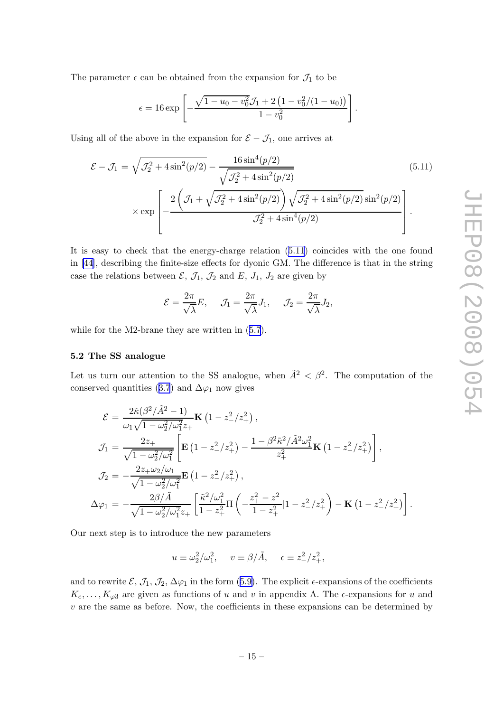<span id="page-15-0"></span>The parameter  $\epsilon$  can be obtained from the expansion for  $\mathcal{J}_1$  to be

$$
\epsilon = 16 \exp \left[ -\frac{\sqrt{1 - u_0 - v_0^2} \mathcal{J}_1 + 2 \left( 1 - v_0^2 / (1 - u_0) \right)}{1 - v_0^2} \right].
$$

Using all of the above in the expansion for  $\mathcal{E} - \mathcal{J}_1$ , one arrives at

$$
\mathcal{E} - \mathcal{J}_1 = \sqrt{\mathcal{J}_2^2 + 4\sin^2(p/2)} - \frac{16\sin^4(p/2)}{\sqrt{\mathcal{J}_2^2 + 4\sin^2(p/2)}}
$$
(5.11)  
× exp
$$
\left[ -\frac{2\left(\mathcal{J}_1 + \sqrt{\mathcal{J}_2^2 + 4\sin^2(p/2)}\right)\sqrt{\mathcal{J}_2^2 + 4\sin^2(p/2)}\sin^2(p/2)}{\mathcal{J}_2^2 + 4\sin^4(p/2)} \right].
$$

It is easy to check that the energy-charge relation (5.11) coincides with the one found in [\[44\]](#page-20-0), describing the finite-size effects for dyonic GM. The difference is that in the string case the relations between  $\mathcal{E}, \mathcal{J}_1, \mathcal{J}_2$  and  $E, J_1, J_2$  are given by

$$
\mathcal{E} = \frac{2\pi}{\sqrt{\lambda}} E, \quad \mathcal{J}_1 = \frac{2\pi}{\sqrt{\lambda}} J_1, \quad \mathcal{J}_2 = \frac{2\pi}{\sqrt{\lambda}} J_2,
$$

while for the M2-brane they are written in ([5.7](#page-14-0)).

#### 5.2 The SS analogue

Let us turn our attention to the SS analogue, when  $\tilde{A}^2 < \beta^2$ . The computation of the conserved quantities ([3.7](#page-6-0)) and  $\Delta\varphi_1$  now gives

$$
\mathcal{E} = \frac{2\tilde{\kappa}(\beta^2/\tilde{A}^2 - 1)}{\omega_1\sqrt{1 - \omega_2^2/\omega_1^2 z_+}} \mathbf{K} \left(1 - z_-^2/z_+^2\right),
$$
\n
$$
\mathcal{J}_1 = \frac{2z_+}{\sqrt{1 - \omega_2^2/\omega_1^2}} \left[ \mathbf{E} \left(1 - z_-^2/z_+^2\right) - \frac{1 - \beta^2 \tilde{\kappa}^2/\tilde{A}^2 \omega_1^2}{z_+^2} \mathbf{K} \left(1 - z_-^2/z_+^2\right) \right],
$$
\n
$$
\mathcal{J}_2 = -\frac{2z_+ \omega_2/\omega_1}{\sqrt{1 - \omega_2^2/\omega_1^2}} \mathbf{E} \left(1 - z_-^2/z_+^2\right),
$$
\n
$$
\Delta \varphi_1 = -\frac{2\beta/\tilde{A}}{\sqrt{1 - \omega_2^2/\omega_1^2 z_+}} \left[ \frac{\tilde{\kappa}^2/\omega_1^2}{1 - z_+^2} \Pi \left( -\frac{z_+^2 - z_-^2}{1 - z_+^2} |1 - z_-^2/z_+^2 \right) - \mathbf{K} \left(1 - z_-^2/z_+^2\right) \right].
$$

Our next step is to introduce the new parameters

$$
u \equiv \omega_2^2/\omega_1^2
$$
,  $v \equiv \beta/\tilde{A}$ ,  $\epsilon \equiv z_-^2/z_+^2$ ,

and to rewrite  $\mathcal{E}, \mathcal{J}_1, \mathcal{J}_2, \Delta \varphi_1$  in the form ([5.9\)](#page-14-0). The explicit  $\epsilon$ -expansions of the coefficients  $K_e, \ldots, K_{\varphi 3}$  are given as functions of u and v in appendix A. The  $\epsilon$ -expansions for u and  $v$  are the same as before. Now, the coefficients in these expansions can be determined by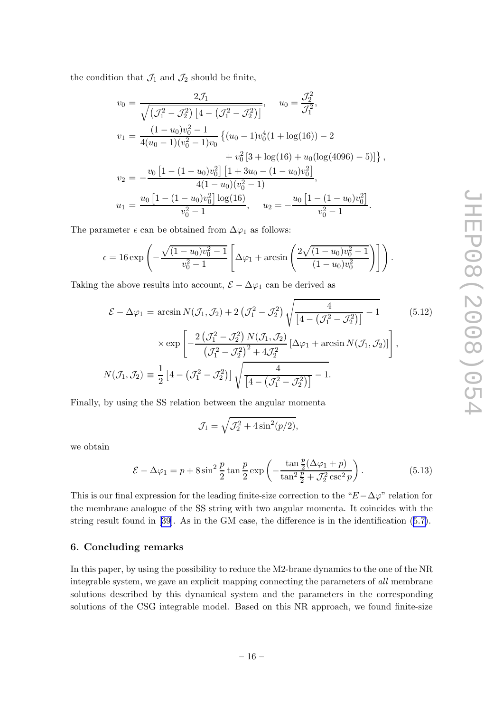<span id="page-16-0"></span>the condition that  $\mathcal{J}_1$  and  $\mathcal{J}_2$  should be finite,

$$
v_0 = \frac{2\mathcal{J}_1}{\sqrt{(\mathcal{J}_1^2 - \mathcal{J}_2^2) [4 - (\mathcal{J}_1^2 - \mathcal{J}_2^2)]}}, \qquad u_0 = \frac{\mathcal{J}_2^2}{\mathcal{J}_1^2},
$$
  
\n
$$
v_1 = \frac{(1 - u_0)v_0^2 - 1}{4(u_0 - 1)(v_0^2 - 1)v_0} \{ (u_0 - 1)v_0^4 (1 + \log(16)) - 2 + v_0^2 [3 + \log(16) + u_0(\log(4096) - 5)] \},
$$
  
\n
$$
v_2 = -\frac{v_0 [1 - (1 - u_0)v_0^2] [1 + 3u_0 - (1 - u_0)v_0^2]}{4(1 - u_0)(v_0^2 - 1)},
$$
  
\n
$$
u_1 = \frac{u_0 [1 - (1 - u_0)v_0^2] \log(16)}{v_0^2 - 1}, \qquad u_2 = -\frac{u_0 [1 - (1 - u_0)v_0^2]}{v_0^2 - 1}.
$$

The parameter  $\epsilon$  can be obtained from  $\Delta\varphi_1$  as follows:

$$
\epsilon = 16 \exp \left(-\frac{\sqrt{(1 - u_0)v_0^2 - 1}}{v_0^2 - 1} \left[ \Delta \varphi_1 + \arcsin \left( \frac{2\sqrt{(1 - u_0)v_0^2 - 1}}{(1 - u_0)v_0^2} \right) \right] \right).
$$

Taking the above results into account,  $\mathcal{E} - \Delta \varphi_1$  can be derived as

$$
\mathcal{E} - \Delta \varphi_1 = \arcsin N(\mathcal{J}_1, \mathcal{J}_2) + 2(\mathcal{J}_1^2 - \mathcal{J}_2^2) \sqrt{\frac{4}{[4 - (\mathcal{J}_1^2 - \mathcal{J}_2^2)]}} - 1
$$
(5.12)  
 
$$
\times \exp \left[ -\frac{2(\mathcal{J}_1^2 - \mathcal{J}_2^2) N(\mathcal{J}_1, \mathcal{J}_2)}{(\mathcal{J}_1^2 - \mathcal{J}_2^2)^2 + 4\mathcal{J}_2^2} [\Delta \varphi_1 + \arcsin N(\mathcal{J}_1, \mathcal{J}_2)] \right],
$$
  

$$
N(\mathcal{J}_1, \mathcal{J}_2) \equiv \frac{1}{2} [4 - (\mathcal{J}_1^2 - \mathcal{J}_2^2)] \sqrt{\frac{4}{[4 - (\mathcal{J}_1^2 - \mathcal{J}_2^2)]}} - 1.
$$

Finally, by using the SS relation between the angular momenta

$$
\mathcal{J}_1 = \sqrt{\mathcal{J}_2^2 + 4\sin^2(p/2)},
$$

we obtain

$$
\mathcal{E} - \Delta \varphi_1 = p + 8 \sin^2 \frac{p}{2} \tan \frac{p}{2} \exp \left( -\frac{\tan \frac{p}{2} (\Delta \varphi_1 + p)}{\tan^2 \frac{p}{2} + \mathcal{J}_2^2 \csc^2 p} \right). \tag{5.13}
$$

This is our final expression for the leading finite-size correction to the " $E-\Delta\varphi$ " relation for the membrane analogue of the SS string with two angular momenta. It coincides with the string result found in [\[39\]](#page-20-0). As in the GM case, the difference is in the identification ([5.7\)](#page-14-0).

#### 6. Concluding remarks

In this paper, by using the possibility to reduce the M2-brane dynamics to the one of the NR integrable system, we gave an explicit mapping connecting the parameters of all membrane solutions described by this dynamical system and the parameters in the corresponding solutions of the CSG integrable model. Based on this NR approach, we found finite-size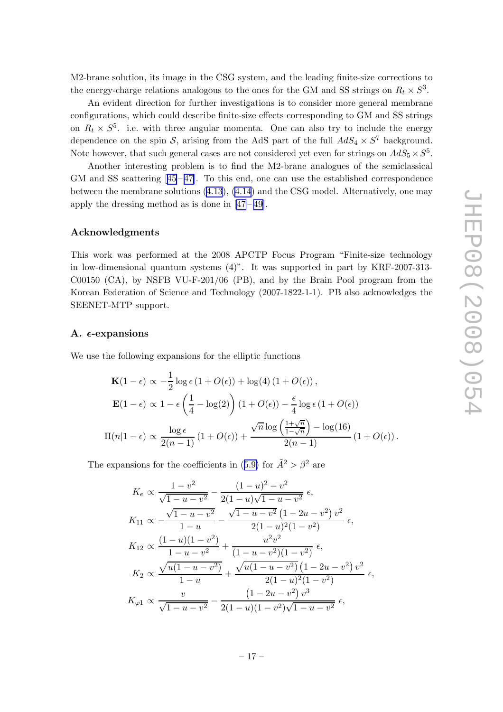<span id="page-17-0"></span>M2-brane solution, its image in the CSG system, and the leading finite-size corrections to the energy-charge relations analogous to the ones for the GM and SS strings on  $R_t \times S^3$ .

An evident direction for further investigations is to consider more general membrane configurations, which could describe finite-size effects corresponding to GM and SS strings on  $R_t \times S^5$ . i.e. with three angular momenta. One can also try to include the energy dependence on the spin  $S$ , arising from the AdS part of the full  $AdS_4 \times S^7$  background. Note however, that such general cases are not considered yet even for strings on  $AdS_5 \times S^5$ .

Another interesting problem is to find the M2-brane analogues of the semiclassical GMand SS scattering  $[45-47]$  $[45-47]$  $[45-47]$ . To this end, one can use the established correspondence between the membrane solutions [\(4.13](#page-9-0)), [\(4.14](#page-10-0)) and the CSG model. Alternatively, one may apply the dressing method as is done in  $[47-49]$ .

#### Acknowledgments

This work was performed at the 2008 APCTP Focus Program "Finite-size technology in low-dimensional quantum systems (4)". It was supported in part by KRF-2007-313- C00150 (CA), by NSFB VU-F-201/06 (PB), and by the Brain Pool program from the Korean Federation of Science and Technology (2007-1822-1-1). PB also acknowledges the SEENET-MTP support.

#### A.  $\epsilon$ -expansions

We use the following expansions for the elliptic functions

$$
\mathbf{K}(1-\epsilon) \propto -\frac{1}{2}\log\epsilon (1+O(\epsilon)) + \log(4) (1+O(\epsilon)),
$$
  

$$
\mathbf{E}(1-\epsilon) \propto 1 - \epsilon \left(\frac{1}{4} - \log(2)\right) (1+O(\epsilon)) - \frac{\epsilon}{4}\log\epsilon (1+O(\epsilon))
$$
  

$$
\Pi(n|1-\epsilon) \propto \frac{\log\epsilon}{2(n-1)} (1+O(\epsilon)) + \frac{\sqrt{n}\log\left(\frac{1+\sqrt{n}}{1-\sqrt{n}}\right) - \log(16)}{2(n-1)} (1+O(\epsilon)).
$$

The expansions for the coefficients in ([5.9\)](#page-14-0) for  $\tilde{A}^2 > \beta^2$  are

$$
K_e \propto \frac{1 - v^2}{\sqrt{1 - u - v^2}} - \frac{(1 - u)^2 - v^2}{2(1 - u)\sqrt{1 - u - v^2}} \epsilon,
$$
  
\n
$$
K_{11} \propto -\frac{\sqrt{1 - u - v^2}}{1 - u} - \frac{\sqrt{1 - u - v^2}(1 - 2u - v^2)v^2}{2(1 - u)^2(1 - v^2)} \epsilon,
$$
  
\n
$$
K_{12} \propto \frac{(1 - u)(1 - v^2)}{1 - u - v^2} + \frac{u^2v^2}{(1 - u - v^2)(1 - v^2)} \epsilon,
$$
  
\n
$$
K_2 \propto \frac{\sqrt{u(1 - u - v^2)}}{1 - u} + \frac{\sqrt{u(1 - u - v^2)(1 - v^2)}}{2(1 - u)^2(1 - v^2)} v^2 \epsilon,
$$
  
\n
$$
K_{\varphi 1} \propto \frac{v}{\sqrt{1 - u - v^2}} - \frac{(1 - 2u - v^2)v^3}{2(1 - u)(1 - v^2)\sqrt{1 - u - v^2}} \epsilon,
$$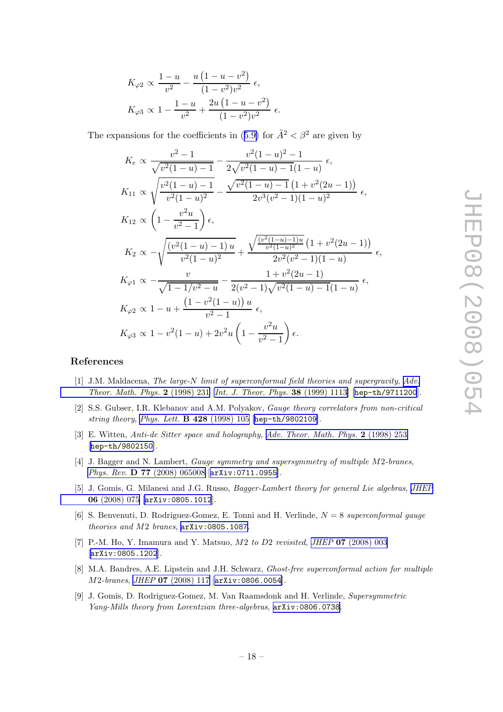<span id="page-18-0"></span>
$$
K_{\varphi 2} \propto \frac{1 - u}{v^2} - \frac{u(1 - u - v^2)}{(1 - v^2)v^2} \epsilon,
$$
  

$$
K_{\varphi 3} \propto 1 - \frac{1 - u}{v^2} + \frac{2u(1 - u - v^2)}{(1 - v^2)v^2} \epsilon.
$$

The expansions for the coefficients in ([5.9\)](#page-14-0) for  $\tilde{A}^2 < \beta^2$  are given by

$$
K_e \propto \frac{v^2 - 1}{\sqrt{v^2(1 - u) - 1}} - \frac{v^2(1 - u)^2 - 1}{2\sqrt{v^2(1 - u) - 1}(1 - u)} \epsilon,
$$
  
\n
$$
K_{11} \propto \sqrt{\frac{v^2(1 - u) - 1}{v^2(1 - u)^2}} - \frac{\sqrt{v^2(1 - u) - 1}(1 + v^2(2u - 1))}{2v^3(v^2 - 1)(1 - u)^2} \epsilon,
$$
  
\n
$$
K_{12} \propto \left(1 - \frac{v^2u}{v^2 - 1}\right)\epsilon,
$$
  
\n
$$
K_2 \propto -\sqrt{\frac{(v^2(1 - u) - 1)u}{v^2(1 - u)^2}} + \frac{\sqrt{\frac{(v^2(1 - u) - 1)u}{v^2(1 - u)^2}}(1 + v^2(2u - 1))}{2v^2(v^2 - 1)(1 - u)} \epsilon,
$$
  
\n
$$
K_{\varphi 1} \propto -\frac{v}{\sqrt{1 - 1/v^2 - u}} - \frac{1 + v^2(2u - 1)}{2(v^2 - 1)\sqrt{v^2(1 - u) - 1}(1 - u)} \epsilon,
$$
  
\n
$$
K_{\varphi 2} \propto 1 - u + \frac{(1 - v^2(1 - u))u}{v^2 - 1} \epsilon,
$$
  
\n
$$
K_{\varphi 3} \propto 1 - v^2(1 - u) + 2v^2u\left(1 - \frac{v^2u}{v^2 - 1}\right)\epsilon.
$$

# References

- [1] J.M. Maldacena, The large-N limit of superconformal field theories and supergravity, [Adv.](http://www-spires.slac.stanford.edu/spires/find/hep/www?j=00203%2C2%2C231) [Theor. Math. Phys.](http://www-spires.slac.stanford.edu/spires/find/hep/www?j=00203%2C2%2C231) 2 (1998) 231 [[Int. J. Theor. Phys.](http://www-spires.slac.stanford.edu/spires/find/hep/www?j=IJTPB%2C38%2C1113) 38 (1999) 1113] [[hep-th/9711200](http://arxiv.org/abs/hep-th/9711200)].
- [2] S.S. Gubser, I.R. Klebanov and A.M. Polyakov, Gauge theory correlators from non-critical string theory, [Phys. Lett.](http://www-spires.slac.stanford.edu/spires/find/hep/www?j=PHLTA%2CB428%2C105) B 428 (1998) 105 [[hep-th/9802109](http://arxiv.org/abs/hep-th/9802109)].
- [3] E. Witten, Anti-de Sitter space and holography, [Adv. Theor. Math. Phys.](http://www-spires.slac.stanford.edu/spires/find/hep/www?j=00203%2C2%2C253) 2 (1998) 253 [[hep-th/9802150](http://arxiv.org/abs/hep-th/9802150)].
- [4] J. Bagger and N. Lambert, Gauge symmetry and supersymmetry of multiple M2-branes, Phys. Rev. **D 77** [\(2008\) 065008](http://www-spires.slac.stanford.edu/spires/find/hep/www?j=PHRVA%2CD77%2C065008) [[arXiv:0711.0955](http://arxiv.org/abs/0711.0955)].
- [5] J. Gomis, G. Milanesi and J.G. Russo, Bagger-Lambert theory for general Lie algebras, [JHEP](http://jhep.sissa.it/stdsearch?paper=06%282008%29075) 06 [\(2008\) 075](http://jhep.sissa.it/stdsearch?paper=06%282008%29075) [[arXiv:0805.1012](http://arxiv.org/abs/0805.1012)].
- [6] S. Benvenuti, D. Rodriguez-Gomez, E. Tonni and H. Verlinde,  $N = 8$  superconformal gauge theories and M2 branes, [arXiv:0805.1087](http://arxiv.org/abs/0805.1087).
- [7] P.-M. Ho, Y. Imamura and Y. Matsuo, M2 to D2 revisited, JHEP 07 [\(2008\) 003](http://jhep.sissa.it/stdsearch?paper=07%282008%29003) [[arXiv:0805.1202](http://arxiv.org/abs/0805.1202)].
- [8] M.A. Bandres, A.E. Lipstein and J.H. Schwarz, Ghost-free superconformal action for multiple M2-branes, JHEP 07 [\(2008\) 117](http://jhep.sissa.it/stdsearch?paper=07%282008%29117) [[arXiv:0806.0054](http://arxiv.org/abs/0806.0054)].
- [9] J. Gomis, D. Rodriguez-Gomez, M. Van Raamsdonk and H. Verlinde, Supersymmetric Yang-Mills theory from Lorentzian three-algebras, [arXiv:0806.0738](http://arxiv.org/abs/0806.0738).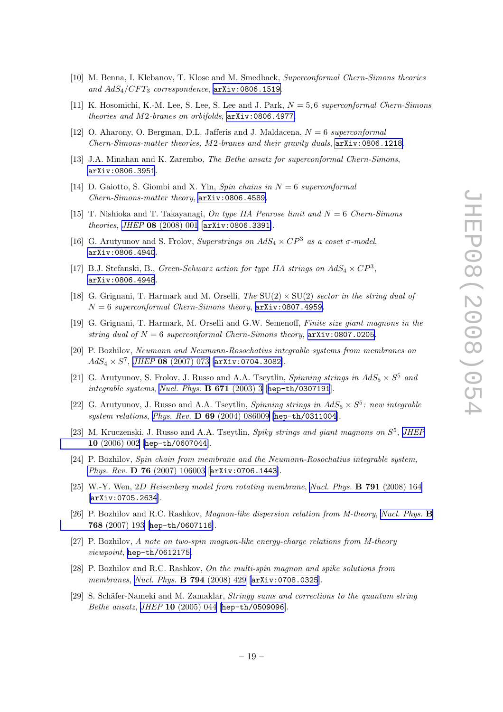- <span id="page-19-0"></span>[10] M. Benna, I. Klebanov, T. Klose and M. Smedback, Superconformal Chern-Simons theories and  $AdS_4/CFT_3$  correspondence,  $arXiv:0806.1519$ .
- [11] K. Hosomichi, K.-M. Lee, S. Lee, S. Lee and J. Park,  $N = 5, 6$  superconformal Chern-Simons theories and M2-branes on orbifolds, [arXiv:0806.4977](http://arxiv.org/abs/0806.4977).
- [12] O. Aharony, O. Bergman, D.L. Jafferis and J. Maldacena,  $N = 6$  superconformal Chern-Simons-matter theories, M2-branes and their gravity duals, [arXiv:0806.1218](http://arxiv.org/abs/0806.1218).
- [13] J.A. Minahan and K. Zarembo, The Bethe ansatz for superconformal Chern-Simons, [arXiv:0806.3951](http://arxiv.org/abs/0806.3951).
- [14] D. Gaiotto, S. Giombi and X. Yin, Spin chains in  $N = 6$  superconformal Chern-Simons-matter theory, [arXiv:0806.4589](http://arxiv.org/abs/0806.4589).
- [15] T. Nishioka and T. Takayanagi, On type IIA Penrose limit and  $N = 6$  Chern-Simons theories, JHEP 08 [\(2008\) 001](http://jhep.sissa.it/stdsearch?paper=08%282008%29001) [[arXiv:0806.3391](http://arxiv.org/abs/0806.3391)].
- [16] G. Arutyunov and S. Frolov, Superstrings on  $AdS_4 \times CP^3$  as a coset  $\sigma$ -model, [arXiv:0806.4940](http://arxiv.org/abs/0806.4940).
- [17] B.J. Stefanski, B., Green-Schwarz action for type IIA strings on  $AdS_4 \times CP^3$ , [arXiv:0806.4948](http://arxiv.org/abs/0806.4948).
- [18] G. Grignani, T. Harmark and M. Orselli, The  $SU(2) \times SU(2)$  sector in the string dual of  $N = 6$  superconformal Chern-Simons theory,  $arXiv:0807.4959$ .
- [19] G. Grignani, T. Harmark, M. Orselli and G.W. Semenoff, Finite size giant magnons in the string dual of  $N = 6$  superconformal Chern-Simons theory,  $arXiv:0807.0205$ .
- [20] P. Bozhilov, Neumann and Neumann-Rosochatius integrable systems from membranes on  $AdS_4\times S^7$ , JHEP 08 [\(2007\) 073](http://jhep.sissa.it/stdsearch?paper=08%282007%29073) [[arXiv:0704.3082](http://arxiv.org/abs/0704.3082)].
- [21] G. Arutyunov, S. Frolov, J. Russo and A.A. Tseytlin, *Spinning strings in*  $AdS_5 \times S^5$  *and* integrable systems, [Nucl. Phys.](http://www-spires.slac.stanford.edu/spires/find/hep/www?j=NUPHA%2CB671%2C3)  $\bf{B}$  671 (2003) 3 [[hep-th/0307191](http://arxiv.org/abs/hep-th/0307191)].
- [22] G. Arutyunov, J. Russo and A.A. Tseytlin, *Spinning strings in*  $AdS_5 \times S^5$ *: new integrable* system relations, Phys. Rev. D 69 [\(2004\) 086009](http://www-spires.slac.stanford.edu/spires/find/hep/www?j=PHRVA%2CD69%2C086009) [[hep-th/0311004](http://arxiv.org/abs/hep-th/0311004)].
- [23] M. Kruczenski, J. Russo and A.A. Tseytlin, Spiky strings and giant magnons on  $S^5$ , [JHEP](http://jhep.sissa.it/stdsearch?paper=10%282006%29002) 10 [\(2006\) 002](http://jhep.sissa.it/stdsearch?paper=10%282006%29002) [[hep-th/0607044](http://arxiv.org/abs/hep-th/0607044)].
- [24] P. Bozhilov, Spin chain from membrane and the Neumann-Rosochatius integrable system, Phys. Rev. D 76 [\(2007\) 106003](http://www-spires.slac.stanford.edu/spires/find/hep/www?j=PHRVA%2CD76%2C106003) [[arXiv:0706.1443](http://arxiv.org/abs/0706.1443)].
- [25] W.-Y. Wen, 2D Heisenberg model from rotating membrane, [Nucl. Phys.](http://www-spires.slac.stanford.edu/spires/find/hep/www?j=NUPHA%2CB791%2C164) B 791 (2008) 164 [[arXiv:0705.2634](http://arxiv.org/abs/0705.2634)].
- [26] P. Bozhilov and R.C. Rashkov, Magnon-like dispersion relation from M-theory, [Nucl. Phys.](http://www-spires.slac.stanford.edu/spires/find/hep/www?j=NUPHA%2CB768%2C193) B 768 [\(2007\) 193](http://www-spires.slac.stanford.edu/spires/find/hep/www?j=NUPHA%2CB768%2C193) [[hep-th/0607116](http://arxiv.org/abs/hep-th/0607116)].
- [27] P. Bozhilov, A note on two-spin magnon-like energy-charge relations from M-theory viewpoint, [hep-th/0612175](http://arxiv.org/abs/hep-th/0612175).
- [28] P. Bozhilov and R.C. Rashkov, On the multi-spin magnon and spike solutions from membranes, [Nucl. Phys.](http://www-spires.slac.stanford.edu/spires/find/hep/www?j=NUPHA%2CB794%2C429) **B 794** (2008) 429 [[arXiv:0708.0325](http://arxiv.org/abs/0708.0325)].
- [29] S. Schäfer-Nameki and M. Zamaklar, Stringy sums and corrections to the quantum string Bethe ansatz, JHEP 10 [\(2005\) 044](http://jhep.sissa.it/stdsearch?paper=10%282005%29044) [[hep-th/0509096](http://arxiv.org/abs/hep-th/0509096)].